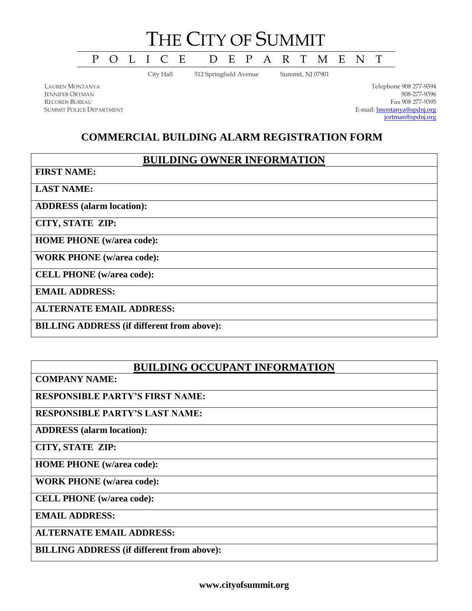# THE CITY OF SUMMIT

P O L I C E D E P A R T M E N T

City Hall 512 Springfield Avenue Summit, NJ 07901

LAUREN MONTANYA JENNIFER ORTMAN RECORDS BUREAU SUMMIT POLICE DEPARTMENT

Telephone 908 277-9394 908-277-9396 Fax 908 277-9395 E-mail[: lmontanya@spdnj.org](mailto:lmontanya@spdnj.org) [jortman@spdnj.org](mailto:jortman@spdnj.org)

# **COMMERCIAL BUILDING ALARM REGISTRATION FORM**

# **BUILDING OWNER INFORMATION**

**FIRST NAME:**

**LAST NAME:**

**ADDRESS (alarm location):**

**CITY, STATE ZIP:**

**HOME PHONE (w/area code):**

**WORK PHONE (w/area code):**

**CELL PHONE (w/area code):**

**EMAIL ADDRESS:**

**ALTERNATE EMAIL ADDRESS:**

**BILLING ADDRESS (if different from above):**

# **BUILDING OCCUPANT INFORMATION**

**COMPANY NAME:**

**RESPONSIBLE PARTY'S FIRST NAME:**

**RESPONSIBLE PARTY'S LAST NAME:**

**ADDRESS (alarm location):**

**CITY, STATE ZIP:**

**HOME PHONE (w/area code):**

**WORK PHONE (w/area code):**

**CELL PHONE (w/area code):**

**EMAIL ADDRESS:**

**ALTERNATE EMAIL ADDRESS:**

**BILLING ADDRESS (if different from above):**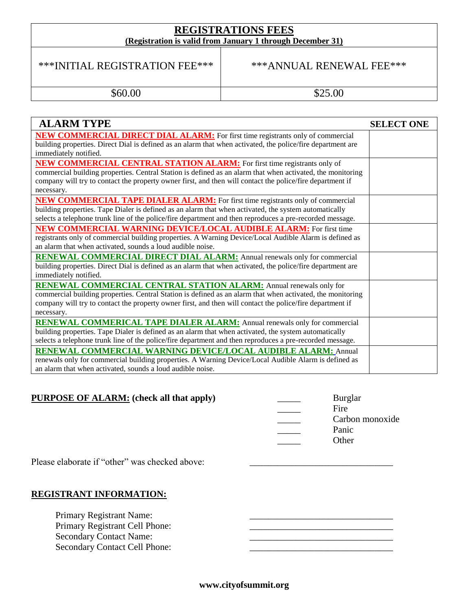#### **REGISTRATIONS FEES (Registration is valid from January 1 through December 31)**

## \*\*\*INITIAL REGISTRATION FEE\*\*\* \*\*\*\*\*\*ANNUAL RENEWAL FEE\*\*\*

\$60.00 \$25.00

| <b>ALARM TYPE</b>                                                                                           | <b>SELECT ONE</b> |
|-------------------------------------------------------------------------------------------------------------|-------------------|
| <b>NEW COMMERCIAL DIRECT DIAL ALARM:</b> For first time registrants only of commercial                      |                   |
| building properties. Direct Dial is defined as an alarm that when activated, the police/fire department are |                   |
| immediately notified.                                                                                       |                   |
| <b>NEW COMMERCIAL CENTRAL STATION ALARM:</b> For first time registrants only of                             |                   |
| commercial building properties. Central Station is defined as an alarm that when activated, the monitoring  |                   |
| company will try to contact the property owner first, and then will contact the police/fire department if   |                   |
| necessary.                                                                                                  |                   |
| <b>NEW COMMERCIAL TAPE DIALER ALARM:</b> For first time registrants only of commercial                      |                   |
| building properties. Tape Dialer is defined as an alarm that when activated, the system automatically       |                   |
| selects a telephone trunk line of the police/fire department and then reproduces a pre-recorded message.    |                   |
| NEW COMMERCIAL WARNING DEVICE/LOCAL AUDIBLE ALARM: For first time                                           |                   |
| registrants only of commercial building properties. A Warning Device/Local Audible Alarm is defined as      |                   |
| an alarm that when activated, sounds a loud audible noise.                                                  |                   |
| <b>RENEWAL COMMERCIAL DIRECT DIAL ALARM:</b> Annual renewals only for commercial                            |                   |
| building properties. Direct Dial is defined as an alarm that when activated, the police/fire department are |                   |
| immediately notified.                                                                                       |                   |
| <b>RENEWAL COMMERCIAL CENTRAL STATION ALARM:</b> Annual renewals only for                                   |                   |
| commercial building properties. Central Station is defined as an alarm that when activated, the monitoring  |                   |
| company will try to contact the property owner first, and then will contact the police/fire department if   |                   |
| necessary.                                                                                                  |                   |
| <b>RENEWAL COMMERICAL TAPE DIALER ALARM:</b> Annual renewals only for commercial                            |                   |
| building properties. Tape Dialer is defined as an alarm that when activated, the system automatically       |                   |
| selects a telephone trunk line of the police/fire department and then reproduces a pre-recorded message.    |                   |
| RENEWAL COMMERCIAL WARNING DEVICE/LOCAL AUDIBLE ALARM: Annual                                               |                   |
| renewals only for commercial building properties. A Warning Device/Local Audible Alarm is defined as        |                   |
| an alarm that when activated, sounds a loud audible noise.                                                  |                   |

## **PURPOSE OF ALARM:** (check all that apply)

| <b>Burglar</b>  |
|-----------------|
| Fire            |
| Carbon monoxide |
| Panic           |
| Other           |
|                 |

Please elaborate if "other" was checked above:

### **REGISTRANT INFORMATION:**

Primary Registrant Name: Primary Registrant Cell Phone: Secondary Contact Name: Secondary Contact Cell Phone: